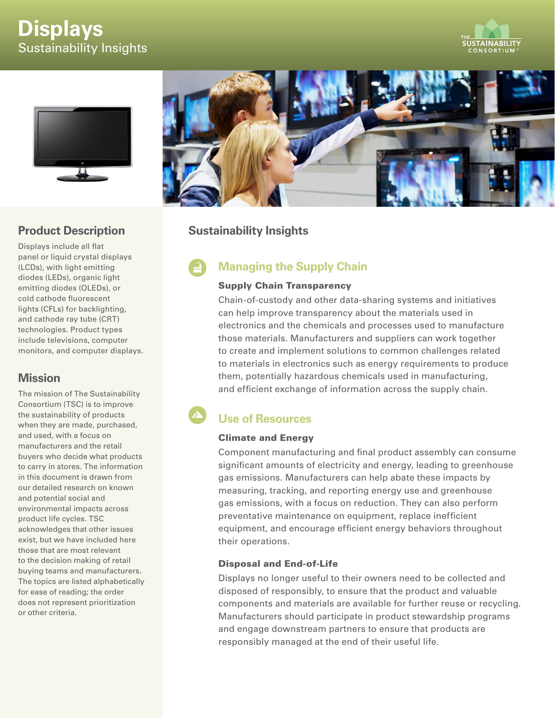# **Displays** Sustainability Insights





# **Product Description**

Displays include all flat panel or liquid crystal displays (LCDs), with light emitting diodes (LEDs), organic light emitting diodes (OLEDs), or cold cathode fluorescent lights (CFLs) for backlighting, and cathode ray tube (CRT) technologies. Product types include televisions, computer monitors, and computer displays.

# **Mission**

The mission of The Sustainability Consortium (TSC) is to improve the sustainability of products when they are made, purchased, and used, with a focus on manufacturers and the retail buyers who decide what products to carry in stores. The information in this document is drawn from our detailed research on known and potential social and environmental impacts across product life cycles. TSC acknowledges that other issues exist, but we have included here those that are most relevant to the decision making of retail buying teams and manufacturers. The topics are listed alphabetically for ease of reading; the order does not represent prioritization or other criteria.



# **Sustainability Insights**

# **Managing the Supply Chain**

#### Supply Chain Transparency

Chain-of-custody and other data-sharing systems and initiatives can help improve transparency about the materials used in electronics and the chemicals and processes used to manufacture those materials. Manufacturers and suppliers can work together to create and implement solutions to common challenges related to materials in electronics such as energy requirements to produce them, potentially hazardous chemicals used in manufacturing, and efficient exchange of information across the supply chain.

#### $\mathbf{A}$ **Use of Resources**

### Climate and Energy

Component manufacturing and final product assembly can consume significant amounts of electricity and energy, leading to greenhouse gas emissions. Manufacturers can help abate these impacts by measuring, tracking, and reporting energy use and greenhouse gas emissions, with a focus on reduction. They can also perform preventative maintenance on equipment, replace inefficient equipment, and encourage efficient energy behaviors throughout their operations.

### Disposal and End-of-Life

Displays no longer useful to their owners need to be collected and disposed of responsibly, to ensure that the product and valuable components and materials are available for further reuse or recycling. Manufacturers should participate in product stewardship programs and engage downstream partners to ensure that products are responsibly managed at the end of their useful life.